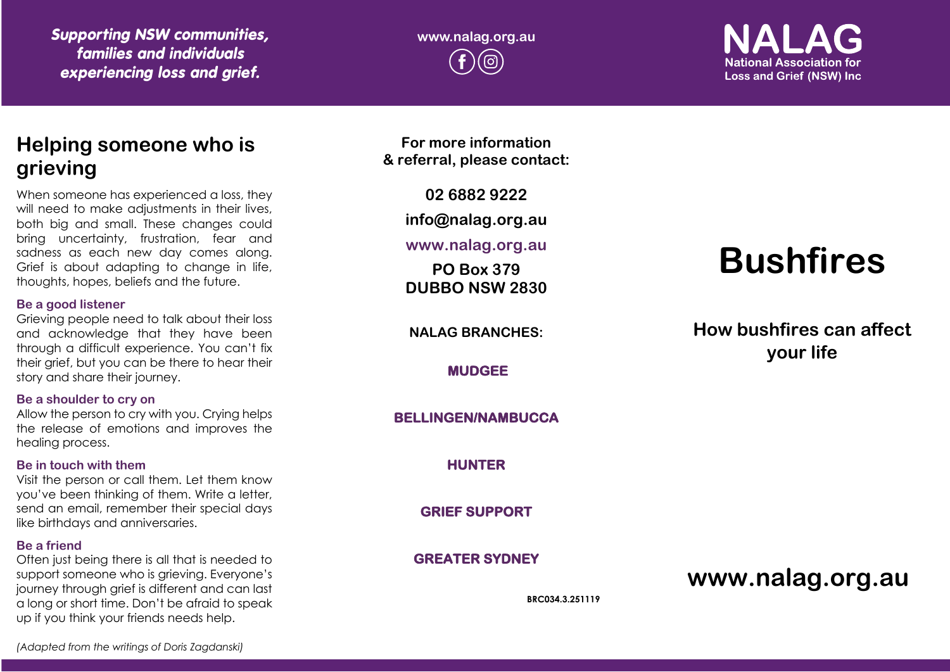*Supporting NSW communities, families and individuals experiencing loss and grief.*

**www.nalag.org.au**

**National Association for Loss and Grief (NSW) Inc.** 

# **Helping someone who is grieving**

When someone has experienced a loss, they will need to make adjustments in their lives, both big and small. These changes could bring uncertainty, frustration, fear and sadness as each new day comes along. Grief is about adapting to change in life, thoughts, hopes, beliefs and the future.

### **Be a good listener**

Grieving people need to talk about their loss and acknowledge that they have been through a difficult experience. You can't fix their grief, but you can be there to hear their story and share their journey.

### **Be a shoulder to cry on**

Allow the person to cry with you. Crying helps the release of emotions and improves the healing process.

### **Be in touch with them**

Visit the person or call them. Let them know you've been thinking of them. Write a letter, send an email, remember their special days like birthdays and anniversaries.

### **Be a friend**

Often just being there is all that is needed to support someone who is grieving. Everyone's journey through grief is different and can last a long or short time. Don't be afraid to speak up if you think your friends needs help.

**For more information & referral, please contact:**

**02 6882 9222**

**info@nalag.org.au**

### **www.nalag.org.au**

**PO Box 379 DUBBO NSW 2830**

**NALAG BRANCHES:**

**MUDGEE** 

### **BELLINGEN/NAMBUCCA**

**HUNTER** 

**GRIEF SUPPORT** 

**GREATER SYDNEY** 

**BRC034.3.251119**

# **Bushfires**

**How bushfires can affect your life**

**www.nalag.org.au**

*(Adapted from the writings of Doris Zagdanski)*